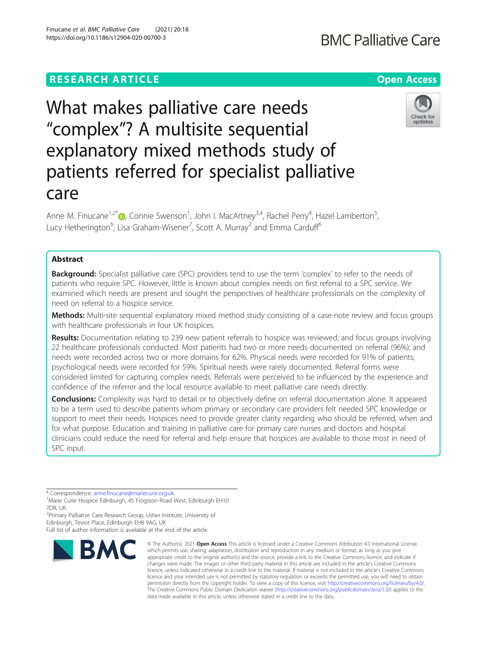## **RESEARCH ARTICLE Example 2014 12:30 The Contract of Contract ACCESS**

# What makes palliative care needs "complex"? A multisite sequential explanatory mixed methods study of patients referred for specialist palliative care

Anne M. Finucane<sup>1,2\*</sup>®, Connie Swenson<sup>1</sup>, John I. MacArtney<sup>3,4</sup>, Rachel Perry<sup>4</sup>, Hazel Lamberton<sup>5</sup> , Lucy Hetherington<sup>6</sup>, Lisa Graham-Wisener<sup>7</sup>, Scott A. Murray<sup>2</sup> and Emma Carduff<sup>6</sup>

## Abstract

**Background:** Specialist palliative care (SPC) providers tend to use the term 'complex' to refer to the needs of patients who require SPC. However, little is known about complex needs on first referral to a SPC service. We examined which needs are present and sought the perspectives of healthcare professionals on the complexity of need on referral to a hospice service.

Methods: Multi-site sequential explanatory mixed method study consisting of a case-note review and focus groups with healthcare professionals in four UK hospices.

Results: Documentation relating to 239 new patient referrals to hospice was reviewed; and focus groups involving 22 healthcare professionals conducted. Most patients had two or more needs documented on referral (96%); and needs were recorded across two or more domains for 62%. Physical needs were recorded for 91% of patients; psychological needs were recorded for 59%. Spiritual needs were rarely documented. Referral forms were considered limited for capturing complex needs. Referrals were perceived to be influenced by the experience and confidence of the referrer and the local resource available to meet palliative care needs directly.

**Conclusions:** Complexity was hard to detail or to objectively define on referral documentation alone. It appeared to be a term used to describe patients whom primary or secondary care providers felt needed SPC knowledge or support to meet their needs. Hospices need to provide greater clarity regarding who should be referred, when and for what purpose. Education and training in palliative care for primary care nurses and doctors and hospital clinicians could reduce the need for referral and help ensure that hospices are available to those most in need of SPC input.

\* Correspondence: [anne.finucane@mariecurie.org.uk](mailto:anne.finucane@mariecurie.org.uk) <sup>1</sup>

**BMC** 

<sup>2</sup> Primary Palliative Care Research Group, Usher Institute, University of Edinburgh, Teviot Place, Edinburgh EH8 9AG, UK

Full list of author information is available at the end of the article







<sup>&</sup>lt;sup>1</sup>Marie Curie Hospice Edinburgh, 45 Frogston Road West, Edinburgh EH10 7DR, UK

<sup>©</sup> The Author(s), 2021 **Open Access** This article is licensed under a Creative Commons Attribution 4.0 International License, which permits use, sharing, adaptation, distribution and reproduction in any medium or format, as long as you give appropriate credit to the original author(s) and the source, provide a link to the Creative Commons licence, and indicate if changes were made. The images or other third party material in this article are included in the article's Creative Commons licence, unless indicated otherwise in a credit line to the material. If material is not included in the article's Creative Commons licence and your intended use is not permitted by statutory regulation or exceeds the permitted use, you will need to obtain permission directly from the copyright holder. To view a copy of this licence, visit [http://creativecommons.org/licenses/by/4.0/.](http://creativecommons.org/licenses/by/4.0/) The Creative Commons Public Domain Dedication waiver [\(http://creativecommons.org/publicdomain/zero/1.0/](http://creativecommons.org/publicdomain/zero/1.0/)) applies to the data made available in this article, unless otherwise stated in a credit line to the data.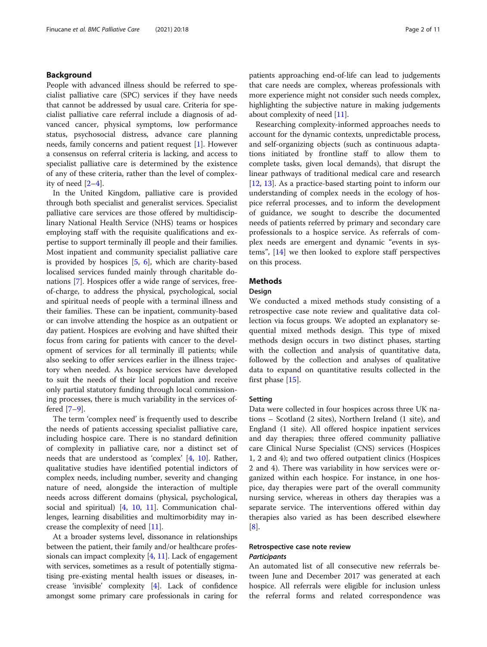## Background

People with advanced illness should be referred to specialist palliative care (SPC) services if they have needs that cannot be addressed by usual care. Criteria for specialist palliative care referral include a diagnosis of advanced cancer, physical symptoms, low performance status, psychosocial distress, advance care planning needs, family concerns and patient request [\[1](#page-9-0)]. However a consensus on referral criteria is lacking, and access to specialist palliative care is determined by the existence of any of these criteria, rather than the level of complexity of need [\[2](#page-9-0)–[4\]](#page-10-0).

In the United Kingdom, palliative care is provided through both specialist and generalist services. Specialist palliative care services are those offered by multidisciplinary National Health Service (NHS) teams or hospices employing staff with the requisite qualifications and expertise to support terminally ill people and their families. Most inpatient and community specialist palliative care is provided by hospices [\[5,](#page-10-0) [6\]](#page-10-0), which are charity-based localised services funded mainly through charitable donations [[7\]](#page-10-0). Hospices offer a wide range of services, freeof-charge, to address the physical, psychological, social and spiritual needs of people with a terminal illness and their families. These can be inpatient, community-based or can involve attending the hospice as an outpatient or day patient. Hospices are evolving and have shifted their focus from caring for patients with cancer to the development of services for all terminally ill patients; while also seeking to offer services earlier in the illness trajectory when needed. As hospice services have developed to suit the needs of their local population and receive only partial statutory funding through local commissioning processes, there is much variability in the services offered [\[7](#page-10-0)–[9](#page-10-0)].

The term 'complex need' is frequently used to describe the needs of patients accessing specialist palliative care, including hospice care. There is no standard definition of complexity in palliative care, nor a distinct set of needs that are understood as 'complex' [[4,](#page-10-0) [10\]](#page-10-0). Rather, qualitative studies have identified potential indictors of complex needs, including number, severity and changing nature of need, alongside the interaction of multiple needs across different domains (physical, psychological, social and spiritual) [\[4](#page-10-0), [10](#page-10-0), [11](#page-10-0)]. Communication challenges, learning disabilities and multimorbidity may increase the complexity of need [[11\]](#page-10-0).

At a broader systems level, dissonance in relationships between the patient, their family and/or healthcare professionals can impact complexity  $[4, 11]$  $[4, 11]$  $[4, 11]$  $[4, 11]$  $[4, 11]$ . Lack of engagement with services, sometimes as a result of potentially stigmatising pre-existing mental health issues or diseases, increase 'invisible' complexity [[4](#page-10-0)]. Lack of confidence amongst some primary care professionals in caring for patients approaching end-of-life can lead to judgements that care needs are complex, whereas professionals with more experience might not consider such needs complex, highlighting the subjective nature in making judgements about complexity of need [[11](#page-10-0)].

Researching complexity-informed approaches needs to account for the dynamic contexts, unpredictable process, and self-organizing objects (such as continuous adaptations initiated by frontline staff to allow them to complete tasks, given local demands), that disrupt the linear pathways of traditional medical care and research [[12,](#page-10-0) [13\]](#page-10-0). As a practice-based starting point to inform our understanding of complex needs in the ecology of hospice referral processes, and to inform the development of guidance, we sought to describe the documented needs of patients referred by primary and secondary care professionals to a hospice service. As referrals of complex needs are emergent and dynamic "events in systems", [[14\]](#page-10-0) we then looked to explore staff perspectives on this process.

## **Methods**

## Design

We conducted a mixed methods study consisting of a retrospective case note review and qualitative data collection via focus groups. We adopted an explanatory sequential mixed methods design. This type of mixed methods design occurs in two distinct phases, starting with the collection and analysis of quantitative data, followed by the collection and analyses of qualitative data to expand on quantitative results collected in the first phase [[15\]](#page-10-0).

#### Setting

Data were collected in four hospices across three UK nations – Scotland (2 sites), Northern Ireland (1 site), and England (1 site). All offered hospice inpatient services and day therapies; three offered community palliative care Clinical Nurse Specialist (CNS) services (Hospices 1, 2 and 4); and two offered outpatient clinics (Hospices 2 and 4). There was variability in how services were organized within each hospice. For instance, in one hospice, day therapies were part of the overall community nursing service, whereas in others day therapies was a separate service. The interventions offered within day therapies also varied as has been described elsewhere  $|8|$ .

## Retrospective case note review **Participants**

An automated list of all consecutive new referrals between June and December 2017 was generated at each hospice. All referrals were eligible for inclusion unless the referral forms and related correspondence was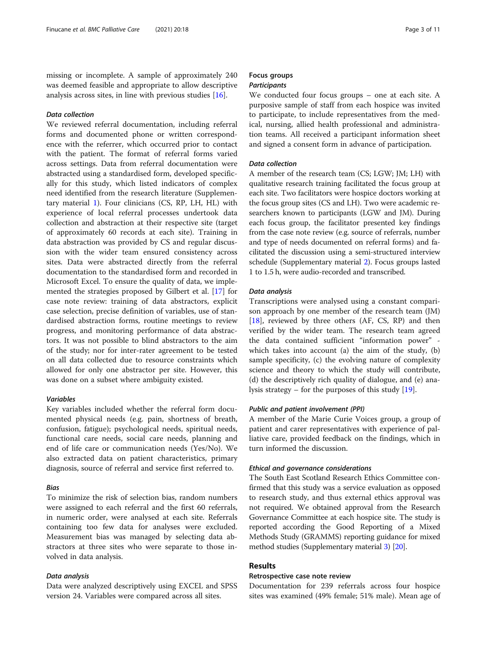missing or incomplete. A sample of approximately 240 was deemed feasible and appropriate to allow descriptive analysis across sites, in line with previous studies [\[16](#page-10-0)].

## Data collection

We reviewed referral documentation, including referral forms and documented phone or written correspondence with the referrer, which occurred prior to contact with the patient. The format of referral forms varied across settings. Data from referral documentation were abstracted using a standardised form, developed specifically for this study, which listed indicators of complex need identified from the research literature (Supplementary material [1\)](#page-9-0). Four clinicians (CS, RP, LH, HL) with experience of local referral processes undertook data collection and abstraction at their respective site (target of approximately 60 records at each site). Training in data abstraction was provided by CS and regular discussion with the wider team ensured consistency across sites. Data were abstracted directly from the referral documentation to the standardised form and recorded in Microsoft Excel. To ensure the quality of data, we implemented the strategies proposed by Gilbert et al. [\[17](#page-10-0)] for case note review: training of data abstractors, explicit case selection, precise definition of variables, use of standardised abstraction forms, routine meetings to review progress, and monitoring performance of data abstractors. It was not possible to blind abstractors to the aim of the study; nor for inter-rater agreement to be tested on all data collected due to resource constraints which allowed for only one abstractor per site. However, this was done on a subset where ambiguity existed.

## Variables

Key variables included whether the referral form documented physical needs (e.g. pain, shortness of breath, confusion, fatigue); psychological needs, spiritual needs, functional care needs, social care needs, planning and end of life care or communication needs (Yes/No). We also extracted data on patient characteristics, primary diagnosis, source of referral and service first referred to.

## Bias

To minimize the risk of selection bias, random numbers were assigned to each referral and the first 60 referrals, in numeric order, were analysed at each site. Referrals containing too few data for analyses were excluded. Measurement bias was managed by selecting data abstractors at three sites who were separate to those involved in data analysis.

## Data analysis

Data were analyzed descriptively using EXCEL and SPSS version 24. Variables were compared across all sites.

## Focus groups **Participants**

We conducted four focus groups – one at each site. A purposive sample of staff from each hospice was invited to participate, to include representatives from the medical, nursing, allied health professional and administration teams. All received a participant information sheet and signed a consent form in advance of participation.

## Data collection

A member of the research team (CS; LGW; JM; LH) with qualitative research training facilitated the focus group at each site. Two facilitators were hospice doctors working at the focus group sites (CS and LH). Two were academic researchers known to participants (LGW and JM). During each focus group, the facilitator presented key findings from the case note review (e.g. source of referrals, number and type of needs documented on referral forms) and facilitated the discussion using a semi-structured interview schedule (Supplementary material [2\)](#page-9-0). Focus groups lasted 1 to 1.5 h, were audio-recorded and transcribed.

## Data analysis

Transcriptions were analysed using a constant comparison approach by one member of the research team (JM) [[18\]](#page-10-0), reviewed by three others (AF, CS, RP) and then verified by the wider team. The research team agreed the data contained sufficient "information power" which takes into account (a) the aim of the study, (b) sample specificity, (c) the evolving nature of complexity science and theory to which the study will contribute, (d) the descriptively rich quality of dialogue, and (e) analysis strategy – for the purposes of this study [[19\]](#page-10-0).

## Public and patient involvement (PPI)

A member of the Marie Curie Voices group, a group of patient and carer representatives with experience of palliative care, provided feedback on the findings, which in turn informed the discussion.

## Ethical and governance considerations

The South East Scotland Research Ethics Committee confirmed that this study was a service evaluation as opposed to research study, and thus external ethics approval was not required. We obtained approval from the Research Governance Committee at each hospice site. The study is reported according the Good Reporting of a Mixed Methods Study (GRAMMS) reporting guidance for mixed method studies (Supplementary material [3](#page-9-0)) [\[20\]](#page-10-0).

## Results

## Retrospective case note review

Documentation for 239 referrals across four hospice sites was examined (49% female; 51% male). Mean age of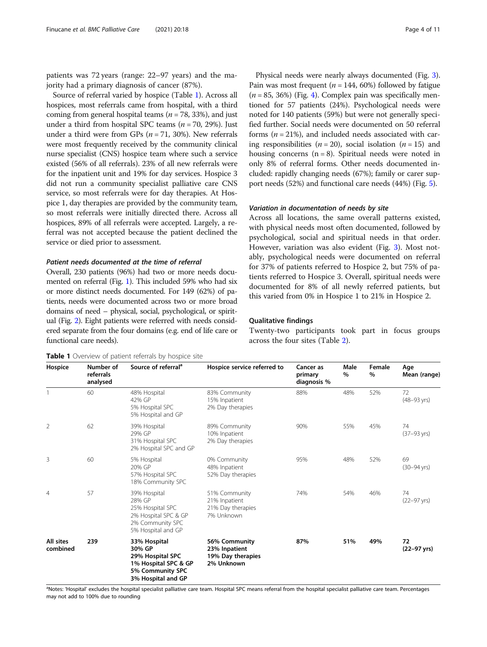patients was 72 years (range: 22–97 years) and the majority had a primary diagnosis of cancer (87%).

Source of referral varied by hospice (Table 1). Across all hospices, most referrals came from hospital, with a third coming from general hospital teams ( $n = 78$ , 33%), and just under a third from hospital SPC teams ( $n = 70$ , 29%). Just under a third were from GPs ( $n = 71$ , 30%). New referrals were most frequently received by the community clinical nurse specialist (CNS) hospice team where such a service existed (56% of all referrals). 23% of all new referrals were for the inpatient unit and 19% for day services. Hospice 3 did not run a community specialist palliative care CNS service, so most referrals were for day therapies. At Hospice 1, day therapies are provided by the community team, so most referrals were initially directed there. Across all hospices, 89% of all referrals were accepted. Largely, a referral was not accepted because the patient declined the service or died prior to assessment.

#### Patient needs documented at the time of referral

Overall, 230 patients (96%) had two or more needs documented on referral (Fig. [1](#page-4-0)). This included 59% who had six or more distinct needs documented. For 149 (62%) of patients, needs were documented across two or more broad domains of need – physical, social, psychological, or spiritual (Fig. [2\)](#page-4-0). Eight patients were referred with needs considered separate from the four domains (e.g. end of life care or functional care needs).

Physical needs were nearly always documented (Fig. [3](#page-5-0)). Pain was most frequent ( $n = 144, 60\%$ ) followed by fatigue  $(n = 85, 36%)$  (Fig. [4](#page-5-0)). Complex pain was specifically mentioned for 57 patients (24%). Psychological needs were noted for 140 patients (59%) but were not generally specified further. Social needs were documented on 50 referral forms ( $n = 21\%$ ), and included needs associated with caring responsibilities ( $n = 20$ ), social isolation ( $n = 15$ ) and housing concerns  $(n = 8)$ . Spiritual needs were noted in only 8% of referral forms. Other needs documented included: rapidly changing needs (67%); family or carer support needs (52%) and functional care needs (44%) (Fig. [5\)](#page-6-0).

## Variation in documentation of needs by site

Across all locations, the same overall patterns existed, with physical needs most often documented, followed by psychological, social and spiritual needs in that order. However, variation was also evident (Fig. [3\)](#page-5-0). Most notably, psychological needs were documented on referral for 37% of patients referred to Hospice 2, but 75% of patients referred to Hospice 3. Overall, spiritual needs were documented for 8% of all newly referred patients, but this varied from 0% in Hospice 1 to 21% in Hospice 2.

#### Qualitative findings

Twenty-two participants took part in focus groups across the four sites (Table [2](#page-6-0)).

Table 1 Overview of patient referrals by hospice site

| Hospice               | Number of<br>referrals<br>analysed | Source of referral <sup>a</sup>                                                                              | Hospice service referred to                                       | Cancer as<br>primary<br>diagnosis % | Male<br>% | Female<br>$\%$ | Age<br>Mean (range)           |
|-----------------------|------------------------------------|--------------------------------------------------------------------------------------------------------------|-------------------------------------------------------------------|-------------------------------------|-----------|----------------|-------------------------------|
|                       | 60                                 | 48% Hospital<br>42% GP<br>5% Hospital SPC<br>5% Hospital and GP                                              | 83% Community<br>15% Inpatient<br>2% Day therapies                | 88%                                 | 48%       | 52%            | 72<br>$(48 - 93 \text{ yrs})$ |
| 2                     | 62                                 | 39% Hospital<br>29% GP<br>31% Hospital SPC<br>2% Hospital SPC and GP                                         | 89% Community<br>10% Inpatient<br>2% Day therapies                | 90%                                 | 55%       | 45%            | 74<br>$(37 - 93 \text{ yrs})$ |
| 3                     | 60                                 | 5% Hospital<br>20% GP<br>57% Hospital SPC<br>18% Community SPC                                               | 0% Community<br>48% Inpatient<br>52% Day therapies                | 95%                                 | 48%       | 52%            | 69<br>$(30 - 94 \text{ yrs})$ |
| $\overline{4}$        | 57                                 | 39% Hospital<br>28% GP<br>25% Hospital SPC<br>2% Hospital SPC & GP<br>2% Community SPC<br>5% Hospital and GP | 51% Community<br>21% Inpatient<br>21% Day therapies<br>7% Unknown | 74%                                 | 54%       | 46%            | 74<br>$(22 - 97 \text{ yrs})$ |
| All sites<br>combined | 239                                | 33% Hospital<br>30% GP<br>29% Hospital SPC<br>1% Hospital SPC & GP<br>5% Community SPC<br>3% Hospital and GP | 56% Community<br>23% Inpatient<br>19% Day therapies<br>2% Unknown | 87%                                 | 51%       | 49%            | 72<br>$(22 - 97 \text{ yrs})$ |

<sup>a</sup>Notes: 'Hospital' excludes the hospital specialist palliative care team. Hospital SPC means referral from the hospital specialist palliative care team. Percentages may not add to 100% due to rounding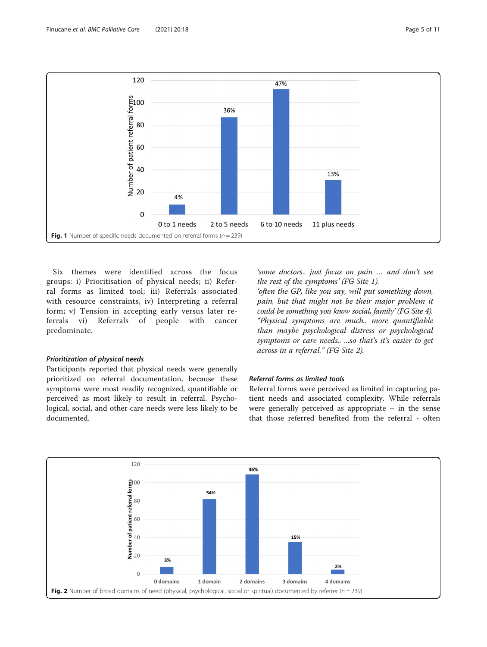<span id="page-4-0"></span>

Six themes were identified across the focus groups: i) Prioritisation of physical needs; ii) Referral forms as limited tool; iii) Referrals associated with resource constraints, iv) Interpreting a referral form; v) Tension in accepting early versus later referrals vi) Referrals of people with cancer predominate.

#### Prioritization of physical needs

Participants reported that physical needs were generally prioritized on referral documentation, because these symptoms were most readily recognized, quantifiable or perceived as most likely to result in referral. Psychological, social, and other care needs were less likely to be documented.

'some doctors.. just focus on pain … and don't see the rest of the symptoms' (FG Site 1).

'often the GP, like you say, will put something down, pain, but that might not be their major problem it could be something you know social, family' (FG Site 4). "Physical symptoms are much.. more quantifiable than maybe psychological distress or psychological symptoms or care needs.. ...so that's it's easier to get across in a referral." (FG Site 2).

## Referral forms as limited tools

Referral forms were perceived as limited in capturing patient needs and associated complexity. While referrals were generally perceived as appropriate – in the sense that those referred benefited from the referral - often

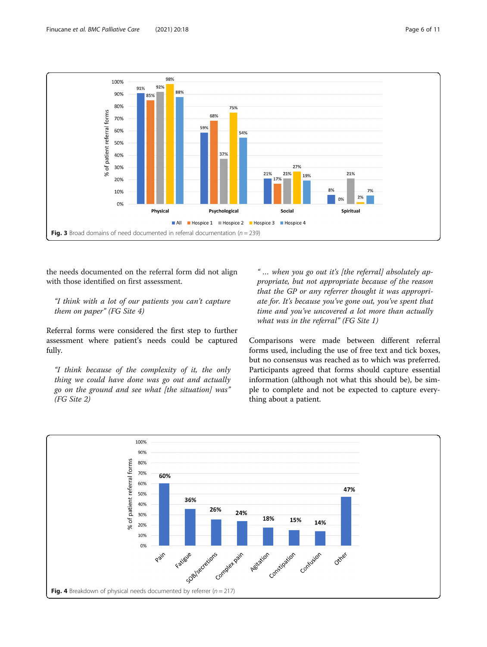<span id="page-5-0"></span>

the needs documented on the referral form did not align with those identified on first assessment.

## "I think with a lot of our patients you can't capture them on paper" (FG Site 4)

Referral forms were considered the first step to further assessment where patient's needs could be captured fully.

"I think because of the complexity of it, the only thing we could have done was go out and actually go on the ground and see what [the situation] was" (FG Site 2)

" … when you go out it's [the referral] absolutely appropriate, but not appropriate because of the reason that the GP or any referrer thought it was appropriate for. It's because you've gone out, you've spent that time and you've uncovered a lot more than actually what was in the referral" (FG Site 1)

Comparisons were made between different referral forms used, including the use of free text and tick boxes, but no consensus was reached as to which was preferred. Participants agreed that forms should capture essential information (although not what this should be), be simple to complete and not be expected to capture everything about a patient.

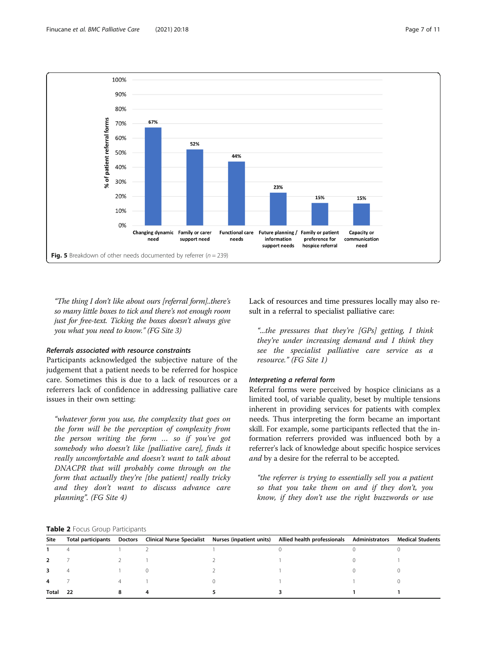<span id="page-6-0"></span>

"The thing I don't like about ours [referral form]..there's so many little boxes to tick and there's not enough room just for free-text. Ticking the boxes doesn't always give you what you need to know." (FG Site 3)

## Referrals associated with resource constraints

Participants acknowledged the subjective nature of the judgement that a patient needs to be referred for hospice care. Sometimes this is due to a lack of resources or a referrers lack of confidence in addressing palliative care issues in their own setting:

"whatever form you use, the complexity that goes on the form will be the perception of complexity from the person writing the form … so if you've got somebody who doesn't like [palliative care], finds it really uncomfortable and doesn't want to talk about DNACPR that will probably come through on the form that actually they're [the patient] really tricky and they don't want to discuss advance care planning". (FG Site 4)

Lack of resources and time pressures locally may also result in a referral to specialist palliative care:

"...the pressures that they're [GPs] getting, I think they're under increasing demand and I think they see the specialist palliative care service as a resource." (FG Site 1)

## Interpreting a referral form

Referral forms were perceived by hospice clinicians as a limited tool, of variable quality, beset by multiple tensions inherent in providing services for patients with complex needs. Thus interpreting the form became an important skill. For example, some participants reflected that the information referrers provided was influenced both by a referrer's lack of knowledge about specific hospice services and by a desire for the referral to be accepted.

"the referrer is trying to essentially sell you a patient so that you take them on and if they don't, you know, if they don't use the right buzzwords or use

## Table 2 Focus Group Participants

| Site                     | <b>Total participants</b> |  | Doctors Clinical Nurse Specialist Nurses (inpatient units) Allied health professionals Administrators | Medical Students |
|--------------------------|---------------------------|--|-------------------------------------------------------------------------------------------------------|------------------|
|                          |                           |  |                                                                                                       |                  |
| $\overline{\phantom{a}}$ |                           |  |                                                                                                       |                  |
| 3                        |                           |  |                                                                                                       |                  |
| 4                        |                           |  |                                                                                                       |                  |
| Total                    | 22                        |  |                                                                                                       |                  |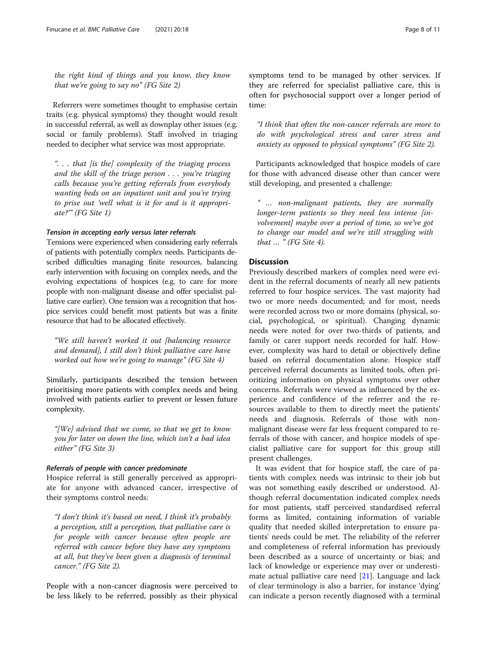the right kind of things and you know, they know that we're going to say no" (FG Site 2)

Referrers were sometimes thought to emphasise certain traits (e.g. physical symptoms) they thought would result in successful referral, as well as downplay other issues (e.g. social or family problems). Staff involved in triaging needed to decipher what service was most appropriate.

". . . that [is the] complexity of the triaging process and the skill of the triage person . . . you're triaging calls because you're getting referrals from everybody wanting beds on an inpatient unit and you're trying to prise out 'well what is it for and is it appropriate?'" (FG Site 1)

## Tension in accepting early versus later referrals

Tensions were experienced when considering early referrals of patients with potentially complex needs. Participants described difficulties managing finite resources, balancing early intervention with focusing on complex needs, and the evolving expectations of hospices (e.g. to care for more people with non-malignant disease and offer specialist palliative care earlier). One tension was a recognition that hospice services could benefit most patients but was a finite resource that had to be allocated effectively.

"We still haven't worked it out [balancing resource and demand], I still don't think palliative care have worked out how we're going to manage" (FG Site 4)

Similarly, participants described the tension between prioritising more patients with complex needs and being involved with patients earlier to prevent or lessen future complexity.

"[We] advised that we come, so that we get to know you for later on down the line, which isn't a bad idea either" (FG Site 3)

## Referrals of people with cancer predominate

Hospice referral is still generally perceived as appropriate for anyone with advanced cancer, irrespective of their symptoms control needs:

"I don't think it's based on need, I think it's probably a perception, still a perception, that palliative care is for people with cancer because often people are referred with cancer before they have any symptoms at all, but they've been given a diagnosis of terminal cancer." (FG Site 2).

People with a non-cancer diagnosis were perceived to be less likely to be referred, possibly as their physical symptoms tend to be managed by other services. If they are referred for specialist palliative care, this is often for psychosocial support over a longer period of time:

"I think that often the non-cancer referrals are more to do with psychological stress and carer stress and anxiety as opposed to physical symptoms" (FG Site 2).

Participants acknowledged that hospice models of care for those with advanced disease other than cancer were still developing, and presented a challenge:

" … non-malignant patients, they are normally longer-term patients so they need less intense [involvement] maybe over a period of time, so we've got to change our model and we're still struggling with that  $\ldots$  " (FG Site 4).

## Discussion

Previously described markers of complex need were evident in the referral documents of nearly all new patients referred to four hospice services. The vast majority had two or more needs documented; and for most, needs were recorded across two or more domains (physical, social, psychological, or spiritual). Changing dynamic needs were noted for over two-thirds of patients, and family or carer support needs recorded for half. However, complexity was hard to detail or objectively define based on referral documentation alone. Hospice staff perceived referral documents as limited tools, often prioritizing information on physical symptoms over other concerns. Referrals were viewed as influenced by the experience and confidence of the referrer and the resources available to them to directly meet the patients' needs and diagnosis. Referrals of those with nonmalignant disease were far less frequent compared to referrals of those with cancer, and hospice models of specialist palliative care for support for this group still present challenges.

It was evident that for hospice staff, the care of patients with complex needs was intrinsic to their job but was not something easily described or understood. Although referral documentation indicated complex needs for most patients, staff perceived standardised referral forms as limited, containing information of variable quality that needed skilled interpretation to ensure patients' needs could be met. The reliability of the referrer and completeness of referral information has previously been described as a source of uncertainty or bias; and lack of knowledge or experience may over or underestimate actual palliative care need [[21](#page-10-0)]. Language and lack of clear terminology is also a barrier, for instance 'dying' can indicate a person recently diagnosed with a terminal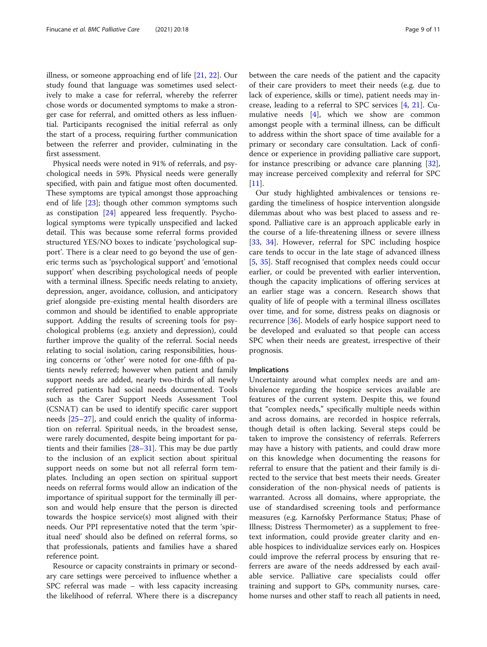illness, or someone approaching end of life [\[21](#page-10-0), [22](#page-10-0)]. Our study found that language was sometimes used selectively to make a case for referral, whereby the referrer chose words or documented symptoms to make a stronger case for referral, and omitted others as less influential. Participants recognised the initial referral as only the start of a process, requiring further communication between the referrer and provider, culminating in the first assessment.

Physical needs were noted in 91% of referrals, and psychological needs in 59%. Physical needs were generally specified, with pain and fatigue most often documented. These symptoms are typical amongst those approaching end of life [\[23](#page-10-0)]; though other common symptoms such as constipation [\[24\]](#page-10-0) appeared less frequently. Psychological symptoms were typically unspecified and lacked detail. This was because some referral forms provided structured YES/NO boxes to indicate 'psychological support'. There is a clear need to go beyond the use of generic terms such as 'psychological support' and 'emotional support' when describing psychological needs of people with a terminal illness. Specific needs relating to anxiety, depression, anger, avoidance, collusion, and anticipatory grief alongside pre-existing mental health disorders are common and should be identified to enable appropriate support. Adding the results of screening tools for psychological problems (e.g. anxiety and depression), could further improve the quality of the referral. Social needs relating to social isolation, caring responsibilities, housing concerns or 'other' were noted for one-fifth of patients newly referred; however when patient and family support needs are added, nearly two-thirds of all newly referred patients had social needs documented. Tools such as the Carer Support Needs Assessment Tool (CSNAT) can be used to identify specific carer support needs [[25](#page-10-0)–[27](#page-10-0)], and could enrich the quality of information on referral. Spiritual needs, in the broadest sense, were rarely documented, despite being important for patients and their families [[28](#page-10-0)–[31](#page-10-0)]. This may be due partly to the inclusion of an explicit section about spiritual support needs on some but not all referral form templates. Including an open section on spiritual support needs on referral forms would allow an indication of the importance of spiritual support for the terminally ill person and would help ensure that the person is directed towards the hospice service(s) most aligned with their needs. Our PPI representative noted that the term 'spiritual need' should also be defined on referral forms, so that professionals, patients and families have a shared reference point.

Resource or capacity constraints in primary or secondary care settings were perceived to influence whether a SPC referral was made – with less capacity increasing the likelihood of referral. Where there is a discrepancy between the care needs of the patient and the capacity of their care providers to meet their needs (e.g. due to lack of experience, skills or time), patient needs may increase, leading to a referral to SPC services [\[4](#page-10-0), [21\]](#page-10-0). Cumulative needs [\[4](#page-10-0)], which we show are common amongst people with a terminal illness, can be difficult to address within the short space of time available for a primary or secondary care consultation. Lack of confidence or experience in providing palliative care support, for instance prescribing or advance care planning [\[32](#page-10-0)], may increase perceived complexity and referral for SPC  $[11]$  $[11]$ .

Our study highlighted ambivalences or tensions regarding the timeliness of hospice intervention alongside dilemmas about who was best placed to assess and respond. Palliative care is an approach applicable early in the course of a life-threatening illness or severe illness [[33,](#page-10-0) [34](#page-10-0)]. However, referral for SPC including hospice care tends to occur in the late stage of advanced illness [[5,](#page-10-0) [35](#page-10-0)]. Staff recognised that complex needs could occur earlier, or could be prevented with earlier intervention, though the capacity implications of offering services at an earlier stage was a concern. Research shows that quality of life of people with a terminal illness oscillates over time, and for some, distress peaks on diagnosis or recurrence [[36](#page-10-0)]. Models of early hospice support need to be developed and evaluated so that people can access SPC when their needs are greatest, irrespective of their prognosis.

#### Implications

Uncertainty around what complex needs are and ambivalence regarding the hospice services available are features of the current system. Despite this, we found that "complex needs," specifically multiple needs within and across domains, are recorded in hospice referrals, though detail is often lacking. Several steps could be taken to improve the consistency of referrals. Referrers may have a history with patients, and could draw more on this knowledge when documenting the reasons for referral to ensure that the patient and their family is directed to the service that best meets their needs. Greater consideration of the non-physical needs of patients is warranted. Across all domains, where appropriate, the use of standardised screening tools and performance measures (e.g. Karnofsky Performance Status; Phase of Illness; Distress Thermometer) as a supplement to freetext information, could provide greater clarity and enable hospices to individualize services early on. Hospices could improve the referral process by ensuring that referrers are aware of the needs addressed by each available service. Palliative care specialists could offer training and support to GPs, community nurses, carehome nurses and other staff to reach all patients in need,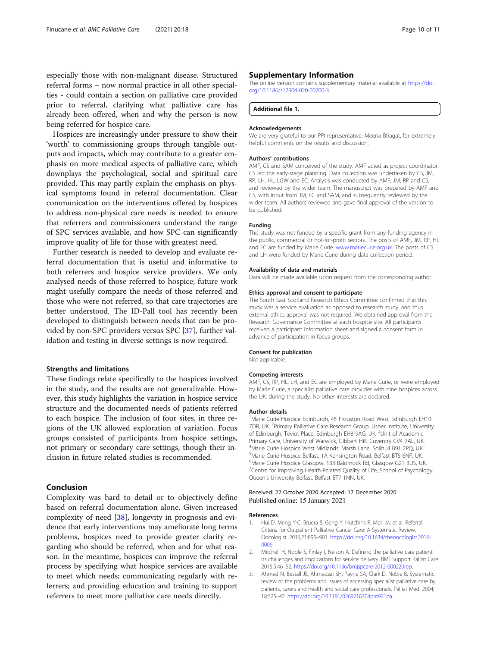<span id="page-9-0"></span>especially those with non-malignant disease. Structured referral forms – now normal practice in all other specialties - could contain a section on palliative care provided prior to referral, clarifying what palliative care has already been offered, when and why the person is now being referred for hospice care.

Hospices are increasingly under pressure to show their 'worth' to commissioning groups through tangible outputs and impacts, which may contribute to a greater emphasis on more medical aspects of palliative care, which downplays the psychological, social and spiritual care provided. This may partly explain the emphasis on physical symptoms found in referral documentation. Clear communication on the interventions offered by hospices to address non-physical care needs is needed to ensure that referrers and commissioners understand the range of SPC services available, and how SPC can significantly improve quality of life for those with greatest need.

Further research is needed to develop and evaluate referral documentation that is useful and informative to both referrers and hospice service providers. We only analysed needs of those referred to hospice; future work might usefully compare the needs of those referred and those who were not referred, so that care trajectories are better understood. The ID-Pall tool has recently been developed to distinguish between needs that can be provided by non-SPC providers versus SPC [\[37\]](#page-10-0), further validation and testing in diverse settings is now required.

## Strengths and limitations

These findings relate specifically to the hospices involved in the study, and the results are not generalizable. However, this study highlights the variation in hospice service structure and the documented needs of patients referred to each hospice. The inclusion of four sites, in three regions of the UK allowed exploration of variation. Focus groups consisted of participants from hospice settings, not primary or secondary care settings, though their inclusion in future related studies is recommended.

## Conclusion

Complexity was hard to detail or to objectively define based on referral documentation alone. Given increased complexity of need [[38\]](#page-10-0), longevity in prognosis and evidence that early interventions may ameliorate long terms problems, hospices need to provide greater clarity regarding who should be referred, when and for what reason. In the meantime, hospices can improve the referral process by specifying what hospice services are available to meet which needs; communicating regularly with referrers; and providing education and training to support referrers to meet more palliative care needs directly.

#### Supplementary Information

The online version contains supplementary material available at [https://doi.](https://doi.org/10.1186/s12904-020-00700-3) [org/10.1186/s12904-020-00700-3.](https://doi.org/10.1186/s12904-020-00700-3)

Additional file 1.

#### Acknowledgements

We are very grateful to our PPI representative, Meena Bhagat, for extremely helpful comments on the results and discussion.

#### Authors' contributions

AMF, CS and SAM conceived of the study. AMF acted as project coordinator. CS led the early-stage planning. Data collection was undertaken by CS, JM, RP, LH, HL, LGW and EC. Analysis was conducted by AMF, JM, RP and CS, and reviewed by the wider team. The manuscript was prepared by AMF and CS, with input from JM, EC and SAM, and subsequently reviewed by the wider team. All authors reviewed and gave final approval of the version to be published.

#### Funding

This study was not funded by a specific grant from any funding agency in the public, commercial or not-for-profit sectors. The posts of AMF, JM, RP, HL and EC are funded by Marie Curie: [www.mariecurie.org.uk](http://www.mariecurie.org.uk). The posts of CS and LH were funded by Marie Curie during data collection period.

#### Availability of data and materials

Data will be made available upon request from the corresponding author.

#### Ethics approval and consent to participate

The South East Scotland Research Ethics Committee confirmed that this study was a service evaluation as opposed to research study, and thus external ethics approval was not required. We obtained approval from the Research Governance Committee at each hospice site. All participants received a participant information sheet and signed a consent form in advance of participation in focus groups.

#### Consent for publication

Not applicable.

#### Competing interests

AMF, CS, RP, HL, LH, and EC are employed by Marie Curie, or were employed by Marie Curie, a specialist palliative care provider with nine hospices across the UK, during the study. No other interests are declared.

#### Author details

<sup>1</sup>Marie Curie Hospice Edinburgh, 45 Frogston Road West, Edinburgh EH10 7DR, UK. <sup>2</sup>Primary Palliative Care Research Group, Usher Institute, University of Edinburgh, Teviot Place, Edinburgh EH8 9AG, UK. <sup>3</sup>Unit of Academic Primary Care, University of Warwick, Gibbert Hill, Coventry CV4 7AL, UK. 4 Marie Curie Hospice West Midlands, Marsh Lane, Solihull B91 2PQ, UK. 5 Marie Curie Hospice Belfast, 1A Kensington Road, Belfast BT5 6NF, UK. 6 Marie Curie Hospice Glasgow, 133 Balornock Rd, Glasgow G21 3US, UK. <sup>7</sup> Centre for Improving Health-Related Quality of Life, School of Psychology, Queen's University Belfast, Belfast BT7 1NN, UK.

#### Received: 22 October 2020 Accepted: 17 December 2020 Published online: 15 January 2021

#### References

- 1. Hui D, Meng Y-C, Bruera S, Geng Y, Hutchins R, Mori M, et al. Referral Criteria for Outpatient Palliative Cancer Care: A Systematic Review. Oncologist. 2016;21:895–901. [https://doi.org/10.1634/theoncologist.2016-](https://doi.org/10.1634/theoncologist.2016-0006) [0006](https://doi.org/10.1634/theoncologist.2016-0006).
- 2. Mitchell H, Noble S, Finlay I, Nelson A. Defining the palliative care patient: its challenges and implications for service delivery. BMJ Support Palliat Care. 2015;5:46–52. [https://doi.org/10.1136/bmjspcare-2012-000220rep.](https://doi.org/10.1136/bmjspcare-2012-000220rep)
- 3. Ahmed N, Bestall JE, Ahmedzai SH, Payne SA, Clark D, Noble B. Systematic review of the problems and issues of accessing specialist palliative care by patients, carers and health and social care professionals. Palliat Med. 2004; 18:525–42. [https://doi.org/10.1191/0269216304pm921oa.](https://doi.org/10.1191/0269216304pm921oa)